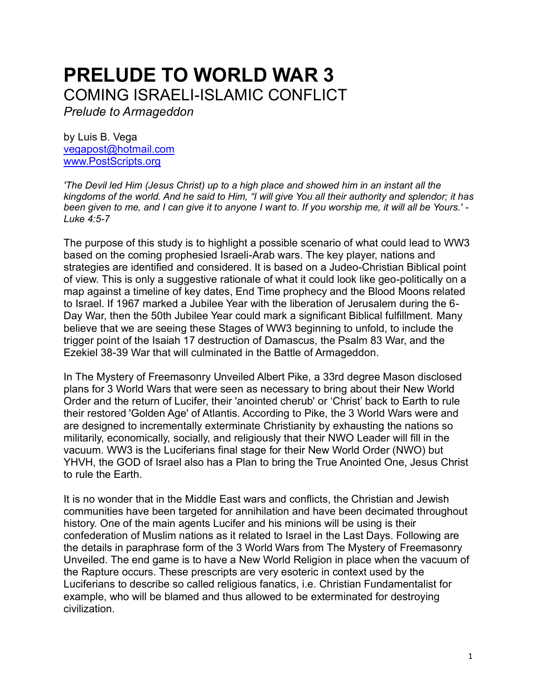# **PRELUDE TO WORLD WAR 3**  COMING ISRAELI-ISLAMIC CONFLICT

*Prelude to Armageddon*

by Luis B. Vega [vegapost@hotmail.com](mailto:vegapost@hotmail.com) [www.PostScripts.org](http://www.postscripts.org/)

*'The Devil led Him (Jesus Christ) up to a high place and showed him in an instant all the kingdoms of the world. And he said to Him, "I will give You all their authority and splendor; it has been given to me, and I can give it to anyone I want to. If you worship me, it will all be Yours.' - Luke 4:5-7*

The purpose of this study is to highlight a possible scenario of what could lead to WW3 based on the coming prophesied Israeli-Arab wars. The key player, nations and strategies are identified and considered. It is based on a Judeo-Christian Biblical point of view. This is only a suggestive rationale of what it could look like geo-politically on a map against a timeline of key dates, End Time prophecy and the Blood Moons related to Israel. If 1967 marked a Jubilee Year with the liberation of Jerusalem during the 6- Day War, then the 50th Jubilee Year could mark a significant Biblical fulfillment. Many believe that we are seeing these Stages of WW3 beginning to unfold, to include the trigger point of the Isaiah 17 destruction of Damascus, the Psalm 83 War, and the Ezekiel 38-39 War that will culminated in the Battle of Armageddon.

In The Mystery of Freemasonry Unveiled Albert Pike, a 33rd degree Mason disclosed plans for 3 World Wars that were seen as necessary to bring about their New World Order and the return of Lucifer, their 'anointed cherub' or 'Christ' back to Earth to rule their restored 'Golden Age' of Atlantis. According to Pike, the 3 World Wars were and are designed to incrementally exterminate Christianity by exhausting the nations so militarily, economically, socially, and religiously that their NWO Leader will fill in the vacuum. WW3 is the Luciferians final stage for their New World Order (NWO) but YHVH, the GOD of Israel also has a Plan to bring the True Anointed One, Jesus Christ to rule the Earth.

It is no wonder that in the Middle East wars and conflicts, the Christian and Jewish communities have been targeted for annihilation and have been decimated throughout history. One of the main agents Lucifer and his minions will be using is their confederation of Muslim nations as it related to Israel in the Last Days. Following are the details in paraphrase form of the 3 World Wars from The Mystery of Freemasonry Unveiled. The end game is to have a New World Religion in place when the vacuum of the Rapture occurs. These prescripts are very esoteric in context used by the Luciferians to describe so called religious fanatics, i.e. Christian Fundamentalist for example, who will be blamed and thus allowed to be exterminated for destroying civilization.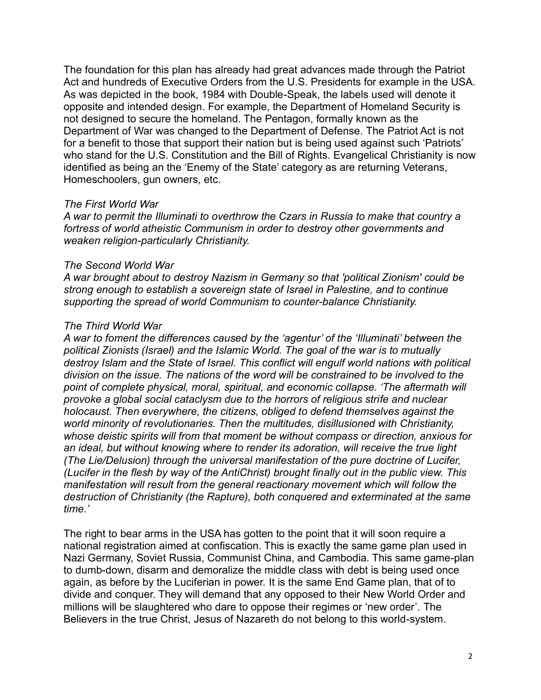The foundation for this plan has already had great advances made through the Patriot Act and hundreds of Executive Orders from the U.S. Presidents for example in the USA. As was depicted in the book, 1984 with Double-Speak, the labels used will denote it opposite and intended design. For example, the Department of Homeland Security is not designed to secure the homeland. The Pentagon, formally known as the Department of War was changed to the Department of Defense. The Patriot Act is not for a benefit to those that support their nation but is being used against such 'Patriots' who stand for the U.S. Constitution and the Bill of Rights. Evangelical Christianity is now identified as being an the 'Enemy of the State' category as are returning Veterans, Homeschoolers, gun owners, etc.

#### *The First World War*

*A war to permit the Illuminati to overthrow the Czars in Russia to make that country a fortress of world atheistic Communism in order to destroy other governments and weaken religion-particularly Christianity.*

#### *The Second World War*

*A war brought about to destroy Nazism in Germany so that 'political Zionism' could be strong enough to establish a sovereign state of Israel in Palestine, and to continue supporting the spread of world Communism to counter-balance Christianity.*

#### *The Third World War*

*A war to foment the differences caused by the 'agentur' of the 'Illuminati' between the political Zionists (Israel) and the Islamic World. The goal of the war is to mutually destroy Islam and the State of Israel. This conflict will engulf world nations with political division on the issue. The nations of the word will be constrained to be involved to the point of complete physical, moral, spiritual, and economic collapse. 'The aftermath will provoke a global social cataclysm due to the horrors of religious strife and nuclear holocaust. Then everywhere, the citizens, obliged to defend themselves against the world minority of revolutionaries. Then the multitudes, disillusioned with Christianity, whose deistic spirits will from that moment be without compass or direction, anxious for an ideal, but without knowing where to render its adoration, will receive the true light (The Lie/Delusion) through the universal manifestation of the pure doctrine of Lucifer, (Lucifer in the flesh by way of the AntiChrist) brought finally out in the public view. This manifestation will result from the general reactionary movement which will follow the destruction of Christianity (the Rapture), both conquered and exterminated at the same time.'*

The right to bear arms in the USA has gotten to the point that it will soon require a national registration aimed at confiscation. This is exactly the same game plan used in Nazi Germany, Soviet Russia, Communist China, and Cambodia. This same game-plan to dumb-down, disarm and demoralize the middle class with debt is being used once again, as before by the Luciferian in power. It is the same End Game plan, that of to divide and conquer. They will demand that any opposed to their New World Order and millions will be slaughtered who dare to oppose their regimes or 'new order'. The Believers in the true Christ, Jesus of Nazareth do not belong to this world-system.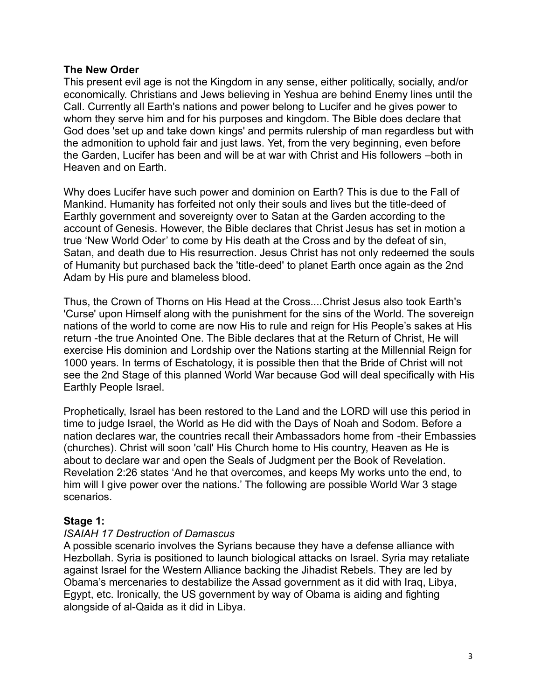### **The New Order**

This present evil age is not the Kingdom in any sense, either politically, socially, and/or economically. Christians and Jews believing in Yeshua are behind Enemy lines until the Call. Currently all Earth's nations and power belong to Lucifer and he gives power to whom they serve him and for his purposes and kingdom. The Bible does declare that God does 'set up and take down kings' and permits rulership of man regardless but with the admonition to uphold fair and just laws. Yet, from the very beginning, even before the Garden, Lucifer has been and will be at war with Christ and His followers –both in Heaven and on Earth.

Why does Lucifer have such power and dominion on Earth? This is due to the Fall of Mankind. Humanity has forfeited not only their souls and lives but the title-deed of Earthly government and sovereignty over to Satan at the Garden according to the account of Genesis. However, the Bible declares that Christ Jesus has set in motion a true 'New World Oder' to come by His death at the Cross and by the defeat of sin, Satan, and death due to His resurrection. Jesus Christ has not only redeemed the souls of Humanity but purchased back the 'title-deed' to planet Earth once again as the 2nd Adam by His pure and blameless blood.

Thus, the Crown of Thorns on His Head at the Cross....Christ Jesus also took Earth's 'Curse' upon Himself along with the punishment for the sins of the World. The sovereign nations of the world to come are now His to rule and reign for His People's sakes at His return -the true Anointed One. The Bible declares that at the Return of Christ, He will exercise His dominion and Lordship over the Nations starting at the Millennial Reign for 1000 years. In terms of Eschatology, it is possible then that the Bride of Christ will not see the 2nd Stage of this planned World War because God will deal specifically with His Earthly People Israel.

Prophetically, Israel has been restored to the Land and the LORD will use this period in time to judge Israel, the World as He did with the Days of Noah and Sodom. Before a nation declares war, the countries recall their Ambassadors home from -their Embassies (churches). Christ will soon 'call' His Church home to His country, Heaven as He is about to declare war and open the Seals of Judgment per the Book of Revelation. Revelation 2:26 states 'And he that overcomes, and keeps My works unto the end, to him will I give power over the nations.' The following are possible World War 3 stage scenarios.

## **Stage 1:**

## *ISAIAH 17 Destruction of Damascus*

A possible scenario involves the Syrians because they have a defense alliance with Hezbollah. Syria is positioned to launch biological attacks on Israel. Syria may retaliate against Israel for the Western Alliance backing the Jihadist Rebels. They are led by Obama's mercenaries to destabilize the Assad government as it did with Iraq, Libya, Egypt, etc. Ironically, the US government by way of Obama is aiding and fighting alongside of al-Qaida as it did in Libya.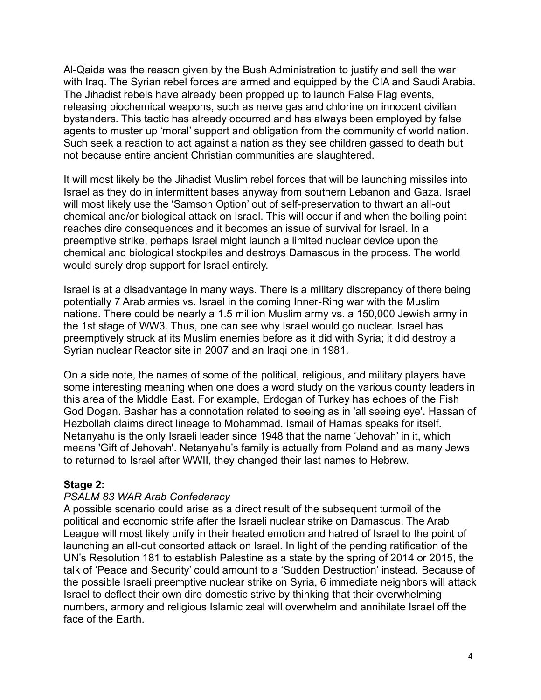Al-Qaida was the reason given by the Bush Administration to justify and sell the war with Iraq. The Syrian rebel forces are armed and equipped by the CIA and Saudi Arabia. The Jihadist rebels have already been propped up to launch False Flag events, releasing biochemical weapons, such as nerve gas and chlorine on innocent civilian bystanders. This tactic has already occurred and has always been employed by false agents to muster up 'moral' support and obligation from the community of world nation. Such seek a reaction to act against a nation as they see children gassed to death but not because entire ancient Christian communities are slaughtered.

It will most likely be the Jihadist Muslim rebel forces that will be launching missiles into Israel as they do in intermittent bases anyway from southern Lebanon and Gaza. Israel will most likely use the 'Samson Option' out of self-preservation to thwart an all-out chemical and/or biological attack on Israel. This will occur if and when the boiling point reaches dire consequences and it becomes an issue of survival for Israel. In a preemptive strike, perhaps Israel might launch a limited nuclear device upon the chemical and biological stockpiles and destroys Damascus in the process. The world would surely drop support for Israel entirely.

Israel is at a disadvantage in many ways. There is a military discrepancy of there being potentially 7 Arab armies vs. Israel in the coming Inner-Ring war with the Muslim nations. There could be nearly a 1.5 million Muslim army vs. a 150,000 Jewish army in the 1st stage of WW3. Thus, one can see why Israel would go nuclear. Israel has preemptively struck at its Muslim enemies before as it did with Syria; it did destroy a Syrian nuclear Reactor site in 2007 and an Iraqi one in 1981.

On a side note, the names of some of the political, religious, and military players have some interesting meaning when one does a word study on the various county leaders in this area of the Middle East. For example, Erdogan of Turkey has echoes of the Fish God Dogan. Bashar has a connotation related to seeing as in 'all seeing eye'. Hassan of Hezbollah claims direct lineage to Mohammad. Ismail of Hamas speaks for itself. Netanyahu is the only Israeli leader since 1948 that the name 'Jehovah' in it, which means 'Gift of Jehovah'. Netanyahu's family is actually from Poland and as many Jews to returned to Israel after WWII, they changed their last names to Hebrew.

## **Stage 2:**

## *PSALM 83 WAR Arab Confederacy*

A possible scenario could arise as a direct result of the subsequent turmoil of the political and economic strife after the Israeli nuclear strike on Damascus. The Arab League will most likely unify in their heated emotion and hatred of Israel to the point of launching an all-out consorted attack on Israel. In light of the pending ratification of the UN's Resolution 181 to establish Palestine as a state by the spring of 2014 or 2015, the talk of 'Peace and Security' could amount to a 'Sudden Destruction' instead. Because of the possible Israeli preemptive nuclear strike on Syria, 6 immediate neighbors will attack Israel to deflect their own dire domestic strive by thinking that their overwhelming numbers, armory and religious Islamic zeal will overwhelm and annihilate Israel off the face of the Earth.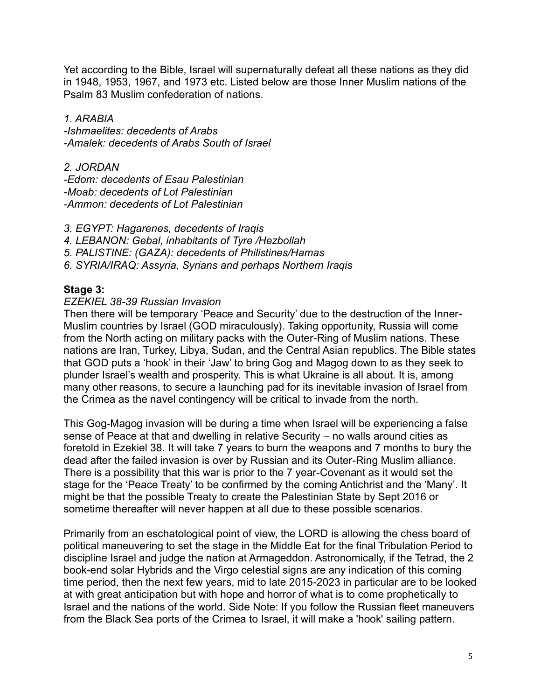Yet according to the Bible, Israel will supernaturally defeat all these nations as they did in 1948, 1953, 1967, and 1973 etc. Listed below are those Inner Muslim nations of the Psalm 83 Muslim confederation of nations.

*1. ARABIA -Ishmaelites: decedents of Arabs -Amalek: decedents of Arabs South of Israel*

*2. JORDAN -Edom: decedents of Esau Palestinian -Moab: decedents of Lot Palestinian -Ammon: decedents of Lot Palestinian* 

- *3. EGYPT: Hagarenes, decedents of Iraqis*
- *4. LEBANON: Gebal, inhabitants of Tyre /Hezbollah*
- *5. PALISTINE: (GAZA): decedents of Philistines/Hamas*
- *6. SYRIA/IRAQ: Assyria, Syrians and perhaps Northern Iraqis*

## **Stage 3:**

#### *EZEKIEL 38-39 Russian Invasion*

Then there will be temporary 'Peace and Security' due to the destruction of the Inner-Muslim countries by Israel (GOD miraculously). Taking opportunity, Russia will come from the North acting on military packs with the Outer-Ring of Muslim nations. These nations are Iran, Turkey, Libya, Sudan, and the Central Asian republics. The Bible states that GOD puts a 'hook' in their 'Jaw' to bring Gog and Magog down to as they seek to plunder Israel's wealth and prosperity. This is what Ukraine is all about. It is, among many other reasons, to secure a launching pad for its inevitable invasion of Israel from the Crimea as the navel contingency will be critical to invade from the north.

This Gog-Magog invasion will be during a time when Israel will be experiencing a false sense of Peace at that and dwelling in relative Security – no walls around cities as foretold in Ezekiel 38. It will take 7 years to burn the weapons and 7 months to bury the dead after the failed invasion is over by Russian and its Outer-Ring Muslim alliance. There is a possibility that this war is prior to the 7 year-Covenant as it would set the stage for the 'Peace Treaty' to be confirmed by the coming Antichrist and the 'Many'. It might be that the possible Treaty to create the Palestinian State by Sept 2016 or sometime thereafter will never happen at all due to these possible scenarios.

Primarily from an eschatological point of view, the LORD is allowing the chess board of political maneuvering to set the stage in the Middle Eat for the final Tribulation Period to discipline Israel and judge the nation at Armageddon. Astronomically, if the Tetrad, the 2 book-end solar Hybrids and the Virgo celestial signs are any indication of this coming time period, then the next few years, mid to late 2015-2023 in particular are to be looked at with great anticipation but with hope and horror of what is to come prophetically to Israel and the nations of the world. Side Note: If you follow the Russian fleet maneuvers from the Black Sea ports of the Crimea to Israel, it will make a 'hook' sailing pattern.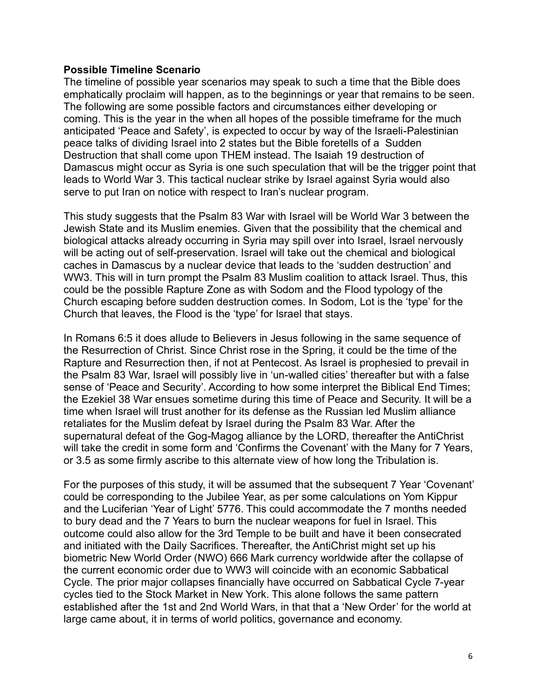#### **Possible Timeline Scenario**

The timeline of possible year scenarios may speak to such a time that the Bible does emphatically proclaim will happen, as to the beginnings or year that remains to be seen. The following are some possible factors and circumstances either developing or coming. This is the year in the when all hopes of the possible timeframe for the much anticipated 'Peace and Safety', is expected to occur by way of the Israeli-Palestinian peace talks of dividing Israel into 2 states but the Bible foretells of a Sudden Destruction that shall come upon THEM instead. The Isaiah 19 destruction of Damascus might occur as Syria is one such speculation that will be the trigger point that leads to World War 3. This tactical nuclear strike by Israel against Syria would also serve to put Iran on notice with respect to Iran's nuclear program.

This study suggests that the Psalm 83 War with Israel will be World War 3 between the Jewish State and its Muslim enemies. Given that the possibility that the chemical and biological attacks already occurring in Syria may spill over into Israel, Israel nervously will be acting out of self-preservation. Israel will take out the chemical and biological caches in Damascus by a nuclear device that leads to the 'sudden destruction' and WW3. This will in turn prompt the Psalm 83 Muslim coalition to attack Israel. Thus, this could be the possible Rapture Zone as with Sodom and the Flood typology of the Church escaping before sudden destruction comes. In Sodom, Lot is the 'type' for the Church that leaves, the Flood is the 'type' for Israel that stays.

In Romans 6:5 it does allude to Believers in Jesus following in the same sequence of the Resurrection of Christ. Since Christ rose in the Spring, it could be the time of the Rapture and Resurrection then, if not at Pentecost. As Israel is prophesied to prevail in the Psalm 83 War, Israel will possibly live in 'un-walled cities' thereafter but with a false sense of 'Peace and Security'. According to how some interpret the Biblical End Times; the Ezekiel 38 War ensues sometime during this time of Peace and Security. It will be a time when Israel will trust another for its defense as the Russian led Muslim alliance retaliates for the Muslim defeat by Israel during the Psalm 83 War. After the supernatural defeat of the Gog-Magog alliance by the LORD, thereafter the AntiChrist will take the credit in some form and 'Confirms the Covenant' with the Many for 7 Years, or 3.5 as some firmly ascribe to this alternate view of how long the Tribulation is.

For the purposes of this study, it will be assumed that the subsequent 7 Year 'Covenant' could be corresponding to the Jubilee Year, as per some calculations on Yom Kippur and the Luciferian 'Year of Light' 5776. This could accommodate the 7 months needed to bury dead and the 7 Years to burn the nuclear weapons for fuel in Israel. This outcome could also allow for the 3rd Temple to be built and have it been consecrated and initiated with the Daily Sacrifices. Thereafter, the AntiChrist might set up his biometric New World Order (NWO) 666 Mark currency worldwide after the collapse of the current economic order due to WW3 will coincide with an economic Sabbatical Cycle. The prior major collapses financially have occurred on Sabbatical Cycle 7-year cycles tied to the Stock Market in New York. This alone follows the same pattern established after the 1st and 2nd World Wars, in that that a 'New Order' for the world at large came about, it in terms of world politics, governance and economy.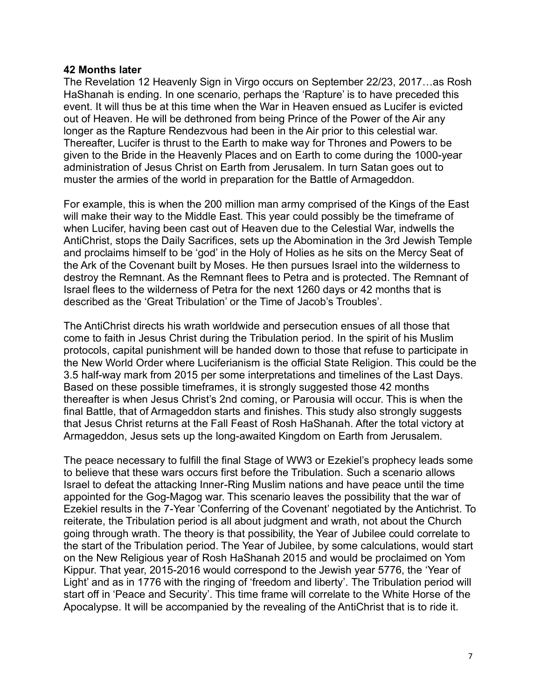#### **42 Months later**

The Revelation 12 Heavenly Sign in Virgo occurs on September 22/23, 2017…as Rosh HaShanah is ending. In one scenario, perhaps the 'Rapture' is to have preceded this event. It will thus be at this time when the War in Heaven ensued as Lucifer is evicted out of Heaven. He will be dethroned from being Prince of the Power of the Air any longer as the Rapture Rendezvous had been in the Air prior to this celestial war. Thereafter, Lucifer is thrust to the Earth to make way for Thrones and Powers to be given to the Bride in the Heavenly Places and on Earth to come during the 1000-year administration of Jesus Christ on Earth from Jerusalem. In turn Satan goes out to muster the armies of the world in preparation for the Battle of Armageddon.

For example, this is when the 200 million man army comprised of the Kings of the East will make their way to the Middle East. This year could possibly be the timeframe of when Lucifer, having been cast out of Heaven due to the Celestial War, indwells the AntiChrist, stops the Daily Sacrifices, sets up the Abomination in the 3rd Jewish Temple and proclaims himself to be 'god' in the Holy of Holies as he sits on the Mercy Seat of the Ark of the Covenant built by Moses. He then pursues Israel into the wilderness to destroy the Remnant. As the Remnant flees to Petra and is protected. The Remnant of Israel flees to the wilderness of Petra for the next 1260 days or 42 months that is described as the 'Great Tribulation' or the Time of Jacob's Troubles'.

The AntiChrist directs his wrath worldwide and persecution ensues of all those that come to faith in Jesus Christ during the Tribulation period. In the spirit of his Muslim protocols, capital punishment will be handed down to those that refuse to participate in the New World Order where Luciferianism is the official State Religion. This could be the 3.5 half-way mark from 2015 per some interpretations and timelines of the Last Days. Based on these possible timeframes, it is strongly suggested those 42 months thereafter is when Jesus Christ's 2nd coming, or Parousia will occur. This is when the final Battle, that of Armageddon starts and finishes. This study also strongly suggests that Jesus Christ returns at the Fall Feast of Rosh HaShanah. After the total victory at Armageddon, Jesus sets up the long-awaited Kingdom on Earth from Jerusalem.

The peace necessary to fulfill the final Stage of WW3 or Ezekiel's prophecy leads some to believe that these wars occurs first before the Tribulation. Such a scenario allows Israel to defeat the attacking Inner-Ring Muslim nations and have peace until the time appointed for the Gog-Magog war. This scenario leaves the possibility that the war of Ezekiel results in the 7-Year 'Conferring of the Covenant' negotiated by the Antichrist. To reiterate, the Tribulation period is all about judgment and wrath, not about the Church going through wrath. The theory is that possibility, the Year of Jubilee could correlate to the start of the Tribulation period. The Year of Jubilee, by some calculations, would start on the New Religious year of Rosh HaShanah 2015 and would be proclaimed on Yom Kippur. That year, 2015-2016 would correspond to the Jewish year 5776, the 'Year of Light' and as in 1776 with the ringing of 'freedom and liberty'. The Tribulation period will start off in 'Peace and Security'. This time frame will correlate to the White Horse of the Apocalypse. It will be accompanied by the revealing of the AntiChrist that is to ride it.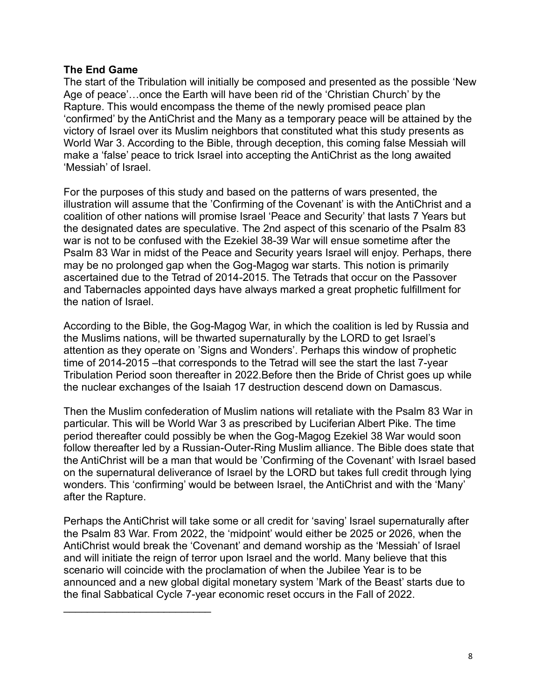## **The End Game**

The start of the Tribulation will initially be composed and presented as the possible 'New Age of peace'…once the Earth will have been rid of the 'Christian Church' by the Rapture. This would encompass the theme of the newly promised peace plan 'confirmed' by the AntiChrist and the Many as a temporary peace will be attained by the victory of Israel over its Muslim neighbors that constituted what this study presents as World War 3. According to the Bible, through deception, this coming false Messiah will make a 'false' peace to trick Israel into accepting the AntiChrist as the long awaited 'Messiah' of Israel.

For the purposes of this study and based on the patterns of wars presented, the illustration will assume that the 'Confirming of the Covenant' is with the AntiChrist and a coalition of other nations will promise Israel 'Peace and Security' that lasts 7 Years but the designated dates are speculative. The 2nd aspect of this scenario of the Psalm 83 war is not to be confused with the Ezekiel 38-39 War will ensue sometime after the Psalm 83 War in midst of the Peace and Security years Israel will enjoy. Perhaps, there may be no prolonged gap when the Gog-Magog war starts. This notion is primarily ascertained due to the Tetrad of 2014-2015. The Tetrads that occur on the Passover and Tabernacles appointed days have always marked a great prophetic fulfillment for the nation of Israel.

According to the Bible, the Gog-Magog War, in which the coalition is led by Russia and the Muslims nations, will be thwarted supernaturally by the LORD to get Israel's attention as they operate on 'Signs and Wonders'. Perhaps this window of prophetic time of 2014-2015 –that corresponds to the Tetrad will see the start the last 7-year Tribulation Period soon thereafter in 2022.Before then the Bride of Christ goes up while the nuclear exchanges of the Isaiah 17 destruction descend down on Damascus.

Then the Muslim confederation of Muslim nations will retaliate with the Psalm 83 War in particular. This will be World War 3 as prescribed by Luciferian Albert Pike. The time period thereafter could possibly be when the Gog-Magog Ezekiel 38 War would soon follow thereafter led by a Russian-Outer-Ring Muslim alliance. The Bible does state that the AntiChrist will be a man that would be 'Confirming of the Covenant' with Israel based on the supernatural deliverance of Israel by the LORD but takes full credit through lying wonders. This 'confirming' would be between Israel, the AntiChrist and with the 'Many' after the Rapture.

Perhaps the AntiChrist will take some or all credit for 'saving' Israel supernaturally after the Psalm 83 War. From 2022, the 'midpoint' would either be 2025 or 2026, when the AntiChrist would break the 'Covenant' and demand worship as the 'Messiah' of Israel and will initiate the reign of terror upon Israel and the world. Many believe that this scenario will coincide with the proclamation of when the Jubilee Year is to be announced and a new global digital monetary system 'Mark of the Beast' starts due to the final Sabbatical Cycle 7-year economic reset occurs in the Fall of 2022.

 $\mathcal{L}_\text{max}$  , where  $\mathcal{L}_\text{max}$  , we have the set of the set of the set of the set of the set of the set of the set of the set of the set of the set of the set of the set of the set of the set of the set of the set of